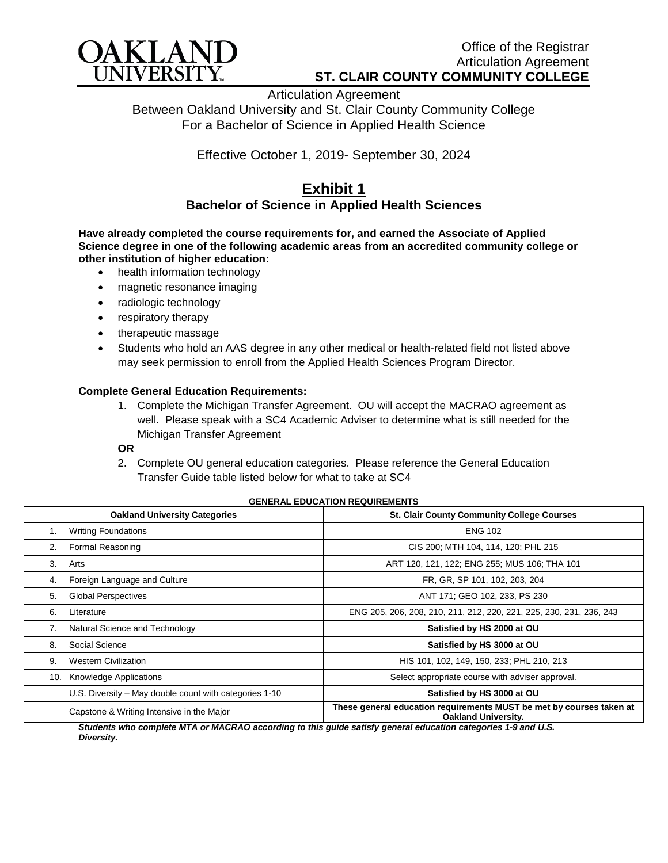

Articulation Agreement Between Oakland University and St. Clair County Community College For a Bachelor of Science in Applied Health Science

Effective October 1, 2019- September 30, 2024

## **Exhibit 1 Bachelor of Science in Applied Health Sciences**

**Have already completed the course requirements for, and earned the Associate of Applied Science degree in one of the following academic areas from an accredited community college or other institution of higher education:**

- health information technology
- magnetic resonance imaging
- radiologic technology
- respiratory therapy
- therapeutic massage
- Students who hold an AAS degree in any other medical or health-related field not listed above may seek permission to enroll from the Applied Health Sciences Program Director.

## **Complete General Education Requirements:**

1. Complete the Michigan Transfer Agreement. OU will accept the MACRAO agreement as well. Please speak with a SC4 Academic Adviser to determine what is still needed for the Michigan Transfer Agreement

## **OR**

2. Complete OU general education categories. Please reference the General Education Transfer Guide table listed below for what to take at SC4

## **GENERAL EDUCATION REQUIREMENTS**

|              | <b>Oakland University Categories</b>                   | <b>St. Clair County Community College Courses</b>                                                  |
|--------------|--------------------------------------------------------|----------------------------------------------------------------------------------------------------|
|              | <b>Writing Foundations</b>                             | <b>ENG 102</b>                                                                                     |
| 2.           | Formal Reasoning                                       | CIS 200; MTH 104, 114, 120; PHL 215                                                                |
| $\mathbf{3}$ | Arts                                                   | ART 120, 121, 122; ENG 255; MUS 106; THA 101                                                       |
| 4.           | Foreign Language and Culture                           | FR, GR, SP 101, 102, 203, 204                                                                      |
| 5.           | <b>Global Perspectives</b>                             | ANT 171; GEO 102, 233, PS 230                                                                      |
| 6.           | Literature                                             | ENG 205, 206, 208, 210, 211, 212, 220, 221, 225, 230, 231, 236, 243                                |
|              | Natural Science and Technology                         | Satisfied by HS 2000 at OU                                                                         |
| 8.           | Social Science                                         | Satisfied by HS 3000 at OU                                                                         |
| 9.           | <b>Western Civilization</b>                            | HIS 101, 102, 149, 150, 233; PHL 210, 213                                                          |
| 10.          | Knowledge Applications                                 | Select appropriate course with adviser approval.                                                   |
|              | U.S. Diversity – May double count with categories 1-10 | Satisfied by HS 3000 at OU                                                                         |
|              | Capstone & Writing Intensive in the Major              | These general education requirements MUST be met by courses taken at<br><b>Oakland University.</b> |

*Students who complete MTA or MACRAO according to this guide satisfy general education categories 1-9 and U.S. Diversity.*